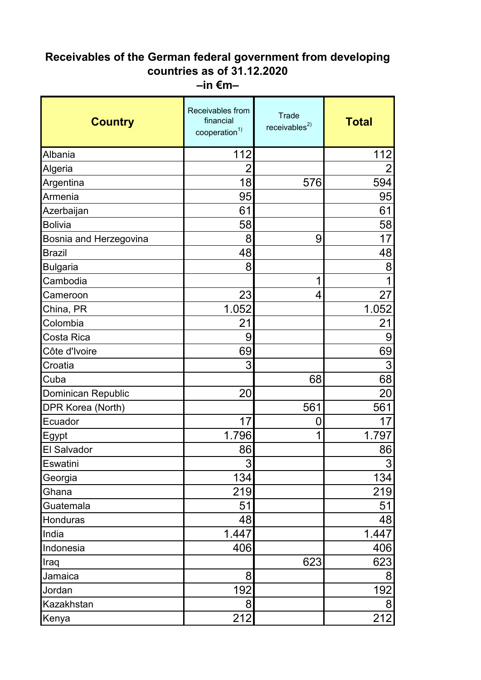## **Receivables of the German federal government from developing countries as of 31.12.2020 –in €m–**

| <b>Country</b>         | Receivables from<br>financial<br>cooperation <sup>1)</sup> | <b>Trade</b><br>receivables $^{2)}$ | <b>Total</b>   |
|------------------------|------------------------------------------------------------|-------------------------------------|----------------|
| Albania                | 112                                                        |                                     | 112            |
| Algeria                | $\overline{2}$                                             |                                     |                |
| Argentina              | 18                                                         | 576                                 | 594            |
| Armenia                | 95                                                         |                                     | 95             |
| Azerbaijan             | 61                                                         |                                     | 61             |
| <b>Bolivia</b>         | 58                                                         |                                     | 58             |
| Bosnia and Herzegovina | 8                                                          | 9                                   | 17             |
| <b>Brazil</b>          | 48                                                         |                                     | 48             |
| <b>Bulgaria</b>        | 8                                                          |                                     | 8              |
| Cambodia               |                                                            | 1                                   |                |
| Cameroon               | 23                                                         | 4                                   | 27             |
| China, PR              | 1.052                                                      |                                     | 1.052          |
| Colombia               | 21                                                         |                                     | 21             |
| Costa Rica             | 9                                                          |                                     | 9              |
| Côte d'Ivoire          | 69                                                         |                                     | 69             |
| Croatia                | 3                                                          |                                     | 3              |
| Cuba                   |                                                            | 68                                  | 68             |
| Dominican Republic     | 20                                                         |                                     | 20             |
| DPR Korea (North)      |                                                            | 561                                 | 561            |
| Ecuador                | 17                                                         | 0                                   | 17             |
| Egypt                  | 1.796                                                      | 1                                   | 1.797          |
| <b>El Salvador</b>     | 86                                                         |                                     | 86             |
| Eswatini               | 3                                                          |                                     | 3              |
| Georgia                | 134                                                        |                                     | 134            |
| Ghana                  | 219                                                        |                                     | 219            |
| Guatemala              | 51                                                         |                                     | 51             |
| Honduras               | 48                                                         |                                     | 48             |
| India                  | 1.447                                                      |                                     | 1.447          |
| Indonesia              | 406                                                        |                                     | 406            |
| Iraq                   |                                                            | 623                                 | 623            |
| Jamaica                | 8                                                          |                                     | 8              |
| Jordan                 | 192                                                        |                                     | 192            |
| Kazakhstan             | 8                                                          |                                     | 8 <sup>1</sup> |
| Kenya                  | 212                                                        |                                     | 212            |